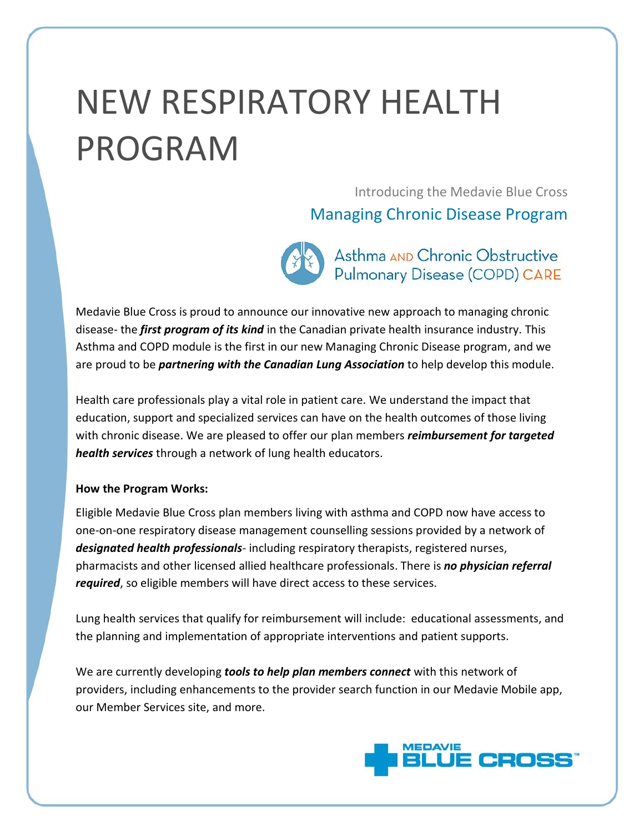# NEW RESPIRATORY HEALTH PROGRAM

Introducing the Medavie Blue Cross

### Managing Chronic Disease Program

Asthma AND Chronic Obstructive **Pulmonary Disease (COPD) CARE** 

Medavie Blue Cross is proud to announce our innovative new approach to managing chronic disease- the *first program of its kind* in the Canadian private health insurance industry. This Asthma and COPD module is the first in our new Managing Chronic Disease program, and we are proud to be *partnering with the Canadian Lung Association* to help develop this module.

Health care professionals play a vital role in patient care. We understand the impact that education, support and specialized services can have on the health outcomes of those living with chronic disease. We are pleased to offer our plan members *reimbursement for targeted health services* through a network of lung health educators.

#### **How the Program Works:**

Eligible Medavie Blue Cross plan members living with asthma and COPD now have access to one-on-one respiratory disease management counselling sessions provided by a network of *designated health professionals*- including respiratory therapists, registered nurses, pharmacists and other licensed allied healthcare professionals. There is *no physician referral required*, so eligible members will have direct access to these services.

Lung health services that qualify for reimbursement will include: educational assessments, and the planning and implementation of appropriate interventions and patient supports.

We are currently developing *tools to help plan members connect* with this network of providers, including enhancements to the provider search function in our Medavie Mobile app, our Member Services site, and more.

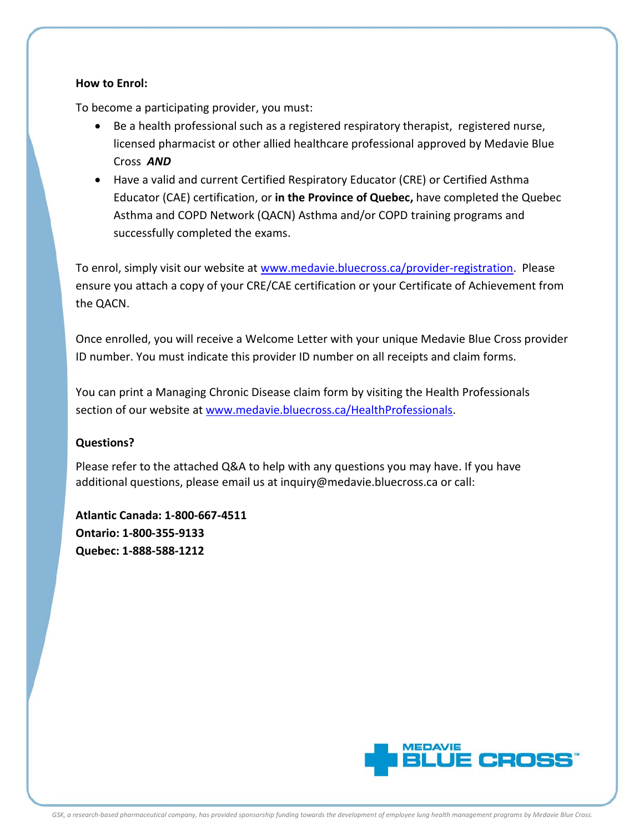#### **How to Enrol:**

To become a participating provider, you must:

- Be a health professional such as a registered respiratory therapist, registered nurse, licensed pharmacist or other allied healthcare professional approved by Medavie Blue Cross *AND*
- Have a valid and current Certified Respiratory Educator (CRE) or Certified Asthma Educator (CAE) certification, or **in the Province of Quebec,** have completed the Quebec Asthma and COPD Network (QACN) Asthma and/or COPD training programs and successfully completed the exams.

To enrol, simply visit our website at [www.medavie.bluecross.ca/provider-registration.](http://www.medavie.bluecross.ca/provider-registration) Please ensure you attach a copy of your CRE/CAE certification or your Certificate of Achievement from the QACN.

Once enrolled, you will receive a Welcome Letter with your unique Medavie Blue Cross provider ID number. You must indicate this provider ID number on all receipts and claim forms.

You can print a Managing Chronic Disease claim form by visiting the Health Professionals section of our website at [www.medavie.bluecross.ca/HealthProfessionals.](http://www.medavie.bluecross.ca/HealthProfessionals)

#### **Questions?**

Please refer to the attached Q&A to help with any questions you may have. If you have additional questions, please email us at inquiry@medavie.bluecross.ca or call:

**Atlantic Canada: 1-800-667-4511 Ontario: 1-800-355-9133 Quebec: 1-888-588-1212**

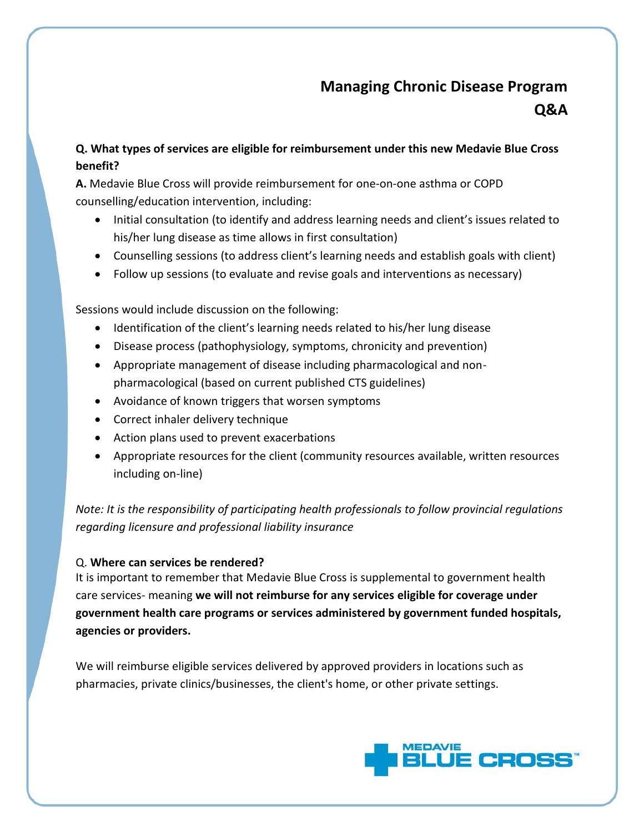## **Managing Chronic Disease Program Q&A**

#### **Q. What types of services are eligible for reimbursement under this new Medavie Blue Cross benefit?**

**A.** Medavie Blue Cross will provide reimbursement for one-on-one asthma or COPD counselling/education intervention, including:

- Initial consultation (to identify and address learning needs and client's issues related to his/her lung disease as time allows in first consultation)
- Counselling sessions (to address client's learning needs and establish goals with client)
- Follow up sessions (to evaluate and revise goals and interventions as necessary)

Sessions would include discussion on the following:

- Identification of the client's learning needs related to his/her lung disease
- Disease process (pathophysiology, symptoms, chronicity and prevention)
- Appropriate management of disease including pharmacological and nonpharmacological (based on current published CTS guidelines)
- Avoidance of known triggers that worsen symptoms
- Correct inhaler delivery technique
- Action plans used to prevent exacerbations
- Appropriate resources for the client (community resources available, written resources including on-line)

*Note: It is the responsibility of participating health professionals to follow provincial regulations regarding licensure and professional liability insurance*

#### Q. **Where can services be rendered?**

It is important to remember that Medavie Blue Cross is supplemental to government health care services- meaning **we will not reimburse for any services eligible for coverage under government health care programs or services administered by government funded hospitals, agencies or providers.**

We will reimburse eligible services delivered by approved providers in locations such as pharmacies, private clinics/businesses, the client's home, or other private settings.

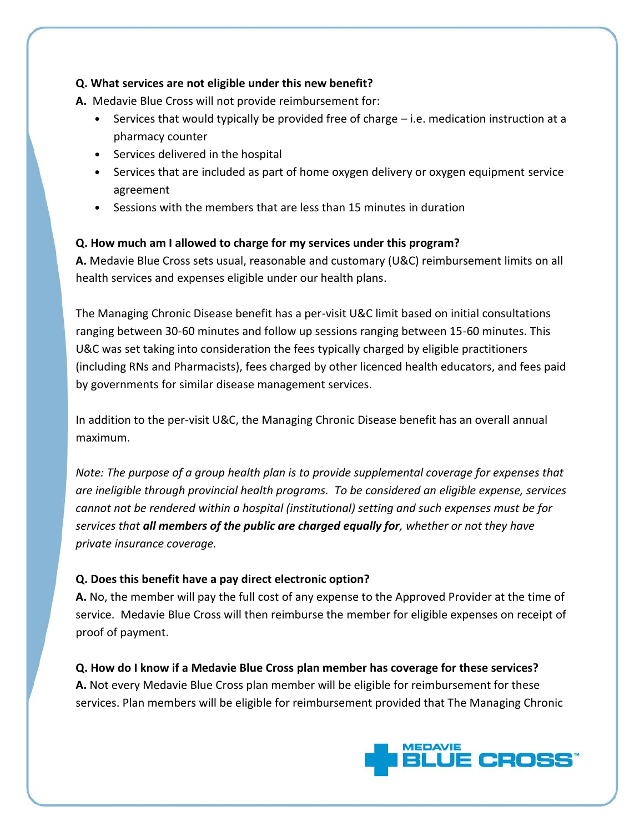#### **Q. What services are not eligible under this new benefit?**

**A.** Medavie Blue Cross will not provide reimbursement for:

- Services that would typically be provided free of charge i.e. medication instruction at a pharmacy counter
- Services delivered in the hospital
- Services that are included as part of home oxygen delivery or oxygen equipment service agreement
- Sessions with the members that are less than 15 minutes in duration

#### **Q. How much am I allowed to charge for my services under this program?**

**A.** Medavie Blue Cross sets usual, reasonable and customary (U&C) reimbursement limits on all health services and expenses eligible under our health plans.

The Managing Chronic Disease benefit has a per-visit U&C limit based on initial consultations ranging between 30-60 minutes and follow up sessions ranging between 15-60 minutes. This U&C was set taking into consideration the fees typically charged by eligible practitioners (including RNs and Pharmacists), fees charged by other licenced health educators, and fees paid by governments for similar disease management services.

In addition to the per-visit U&C, the Managing Chronic Disease benefit has an overall annual maximum.

*Note: The purpose of a group health plan is to provide supplemental coverage for expenses that are ineligible through provincial health programs. To be considered an eligible expense, services cannot not be rendered within a hospital (institutional) setting and such expenses must be for services that all members of the public are charged equally for, whether or not they have private insurance coverage.*

#### **Q. Does this benefit have a pay direct electronic option?**

**A.** No, the member will pay the full cost of any expense to the Approved Provider at the time of service. Medavie Blue Cross will then reimburse the member for eligible expenses on receipt of proof of payment.

**Q. How do I know if a Medavie Blue Cross plan member has coverage for these services? A.** Not every Medavie Blue Cross plan member will be eligible for reimbursement for these services. Plan members will be eligible for reimbursement provided that The Managing Chronic

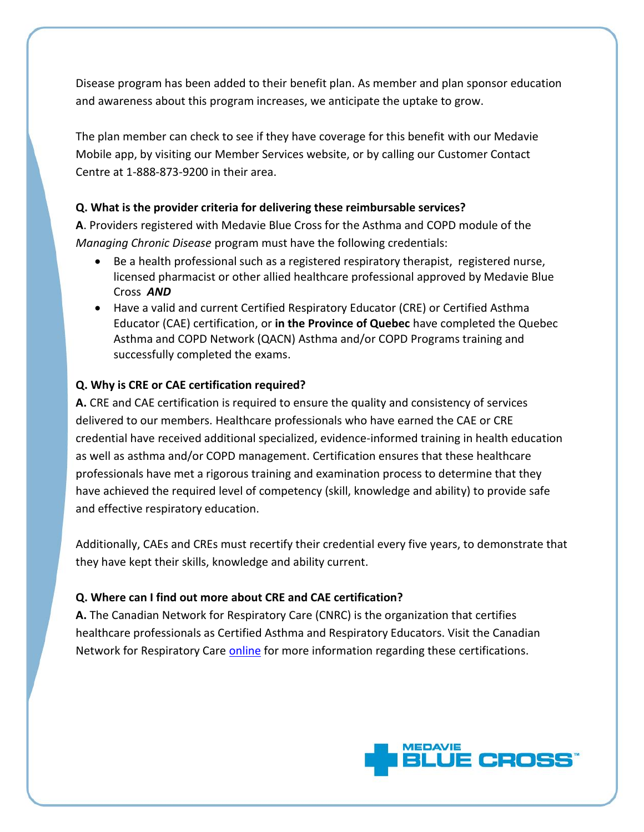Disease program has been added to their benefit plan. As member and plan sponsor education and awareness about this program increases, we anticipate the uptake to grow.

The plan member can check to see if they have coverage for this benefit with our Medavie Mobile app, by visiting our Member Services website, or by calling our Customer Contact Centre at 1-888-873-9200 in their area.

#### **Q. What is the provider criteria for delivering these reimbursable services?**

**A**. Providers registered with Medavie Blue Cross for the Asthma and COPD module of the *Managing Chronic Disease* program must have the following credentials:

- Be a health professional such as a registered respiratory therapist, registered nurse, licensed pharmacist or other allied healthcare professional approved by Medavie Blue Cross *AND*
- Have a valid and current Certified Respiratory Educator (CRE) or Certified Asthma Educator (CAE) certification, or **in the Province of Quebec** have completed the Quebec Asthma and COPD Network (QACN) Asthma and/or COPD Programs training and successfully completed the exams.

#### **Q. Why is CRE or CAE certification required?**

**A.** CRE and CAE certification is required to ensure the quality and consistency of services delivered to our members. Healthcare professionals who have earned the CAE or CRE credential have received additional specialized, evidence-informed training in health education as well as asthma and/or COPD management. Certification ensures that these healthcare professionals have met a rigorous training and examination process to determine that they have achieved the required level of competency (skill, knowledge and ability) to provide safe and effective respiratory education.

Additionally, CAEs and CREs must recertify their credential every five years, to demonstrate that they have kept their skills, knowledge and ability current.

#### **Q. Where can I find out more about CRE and CAE certification?**

**A.** The Canadian Network for Respiratory Care (CNRC) is the organization that certifies healthcare professionals as Certified Asthma and Respiratory Educators. Visit the Canadian Network for Respiratory Car[e online](http://cnrchome.net/) for more information regarding these certifications.